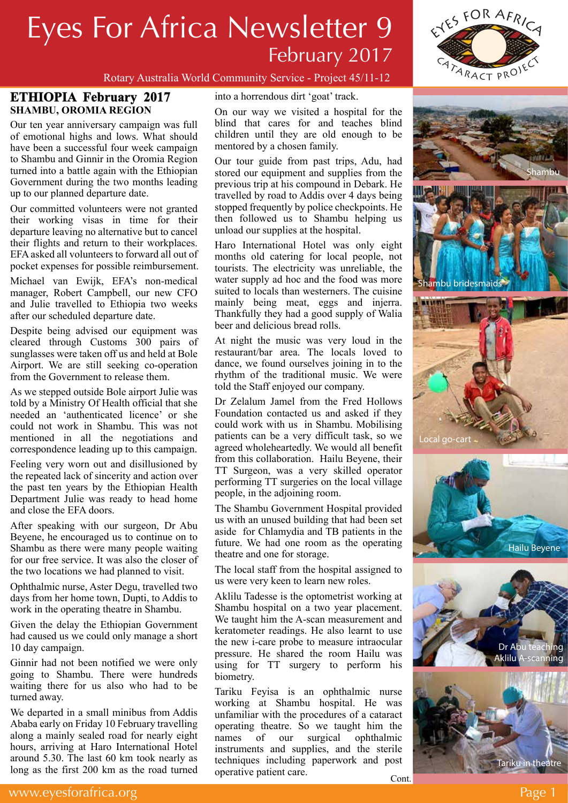# Eyes For Africa Newsletter 9 February 2017



### Rotary Australia World Community Service - Project 45/11-12

## **ETHIOPIA February 2017 SHAMBU, OROMIA REGION**

Our ten year anniversary campaign was full of emotional highs and lows. What should have been a successful four week campaign to Shambu and Ginnir in the Oromia Region turned into a battle again with the Ethiopian Government during the two months leading up to our planned departure date.

Our committed volunteers were not granted their working visas in time for their departure leaving no alternative but to cancel their flights and return to their workplaces. EFA asked all volunteers to forward all out of pocket expenses for possible reimbursement.

Michael van Ewijk, EFA's non-medical manager, Robert Campbell, our new CFO and Julie travelled to Ethiopia two weeks after our scheduled departure date.

Despite being advised our equipment was cleared through Customs 300 pairs of sunglasses were taken off us and held at Bole Airport. We are still seeking co-operation from the Government to release them.

As we stepped outside Bole airport Julie was told by a Ministry Of Health official that she needed an 'authenticated licence' or she could not work in Shambu. This was not mentioned in all the negotiations and correspondence leading up to this campaign.

Feeling very worn out and disillusioned by the repeated lack of sincerity and action over the past ten years by the Ethiopian Health Department Julie was ready to head home and close the EFA doors.

After speaking with our surgeon, Dr Abu Beyene, he encouraged us to continue on to Shambu as there were many people waiting for our free service. It was also the closer of the two locations we had planned to visit.

Ophthalmic nurse, Aster Degu, travelled two days from her home town, Dupti, to Addis to work in the operating theatre in Shambu.

Given the delay the Ethiopian Government had caused us we could only manage a short 10 day campaign.

Ginnir had not been notified we were only going to Shambu. There were hundreds waiting there for us also who had to be turned away.

We departed in a small minibus from Addis Ababa early on Friday 10 February travelling along a mainly sealed road for nearly eight hours, arriving at Haro International Hotel around 5.30. The last 60 km took nearly as long as the first 200 km as the road turned into a horrendous dirt 'goat' track.

On our way we visited a hospital for the blind that cares for and teaches blind children until they are old enough to be mentored by a chosen family.

Our tour guide from past trips, Adu, had stored our equipment and supplies from the previous trip at his compound in Debark. He travelled by road to Addis over 4 days being stopped frequently by police checkpoints. He then followed us to Shambu helping us unload our supplies at the hospital.

Haro International Hotel was only eight months old catering for local people, not tourists. The electricity was unreliable, the water supply ad hoc and the food was more suited to locals than westerners. The cuisine mainly being meat, eggs and injerra. Thankfully they had a good supply of Walia beer and delicious bread rolls.

At night the music was very loud in the restaurant/bar area. The locals loved to dance, we found ourselves joining in to the rhythm of the traditional music. We were told the Staff enjoyed our company.

Dr Zelalum Jamel from the Fred Hollows Foundation contacted us and asked if they could work with us in Shambu. Mobilising patients can be a very difficult task, so we agreed wholeheartedly. We would all benefit from this collaboration. Hailu Beyene, their TT Surgeon, was a very skilled operator performing TT surgeries on the local village people, in the adjoining room.

The Shambu Government Hospital provided us with an unused building that had been set aside for Chlamydia and TB patients in the future. We had one room as the operating theatre and one for storage.

The local staff from the hospital assigned to us were very keen to learn new roles.

Aklilu Tadesse is the optometrist working at Shambu hospital on a two year placement. We taught him the A-scan measurement and keratometer readings. He also learnt to use the new i-care probe to measure intraocular pressure. He shared the room Hailu was using for TT surgery to perform his biometry.

Tariku Feyisa is an ophthalmic nurse working at Shambu hospital. He was unfamiliar with the procedures of a cataract operating theatre. So we taught him the names of our surgical ophthalmic instruments and supplies, and the sterile techniques including paperwork and post operative patient care. Cont.



Shambu bridesmaids







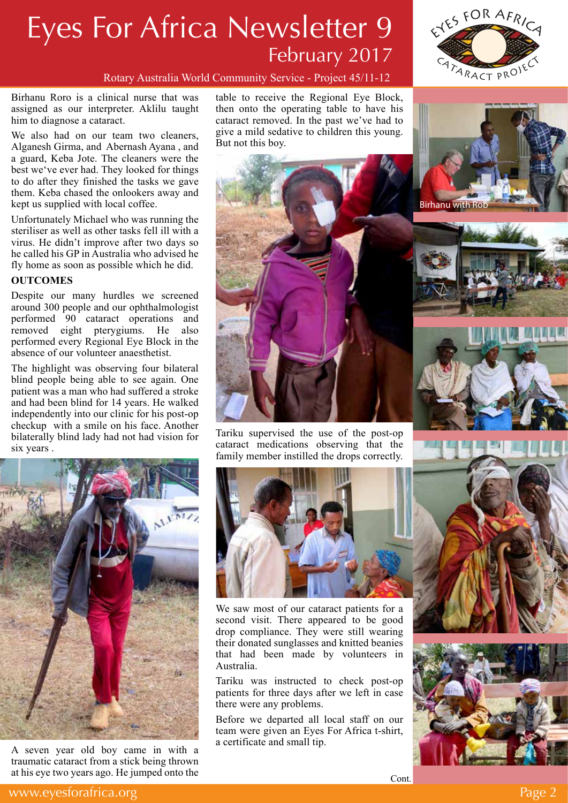# Eyes For Africa Newsletter 9 February 2017



Rotary Australia World Community Service - Project 45/11-12

Birhanu Roro is a clinical nurse that was assigned as our interpreter. Aklilu taught him to diagnose a cataract.

We also had on our team two cleaners, Alganesh Girma, and Abernash Ayana , and a guard, Keba Jote. The cleaners were the best we've ever had. They looked for things to do after they finished the tasks we gave them. Keba chased the onlookers away and kept us supplied with local coffee.

Unfortunately Michael who was running the steriliser as well as other tasks fell ill with a virus. He didn't improve after two days so he called his GP in Australia who advised he fly home as soon as possible which he did.

#### **OUTCOMES**

Despite our many hurdles we screened around 300 people and our ophthalmologist performed 90 cataract operations and removed eight pterygiums. He also performed every Regional Eye Block in the absence of our volunteer anaesthetist.

The highlight was observing four bilateral blind people being able to see again. One patient was a man who had suffered a stroke and had been blind for 14 years. He walked independently into our clinic for his post-op checkup with a smile on his face. Another bilaterally blind lady had not had vision for six years .

table to receive the Regional Eye Block, then onto the operating table to have his cataract removed. In the past we've had to give a mild sedative to children this young. But not this boy.



Tariku supervised the use of the post-op cataract medications observing that the family member instilled the drops correctly.



A seven year old boy came in with a traumatic cataract from a stick being thrown at his eye two years ago. He jumped onto the



We saw most of our cataract patients for a second visit. There appeared to be good drop compliance. They were still wearing their donated sunglasses and knitted beanies that had been made by volunteers in Australia.

Tariku was instructed to check post-op patients for three days after we left in case there were any problems.

Before we departed all local staff on our team were given an Eyes For Africa t-shirt, a certificate and small tip.